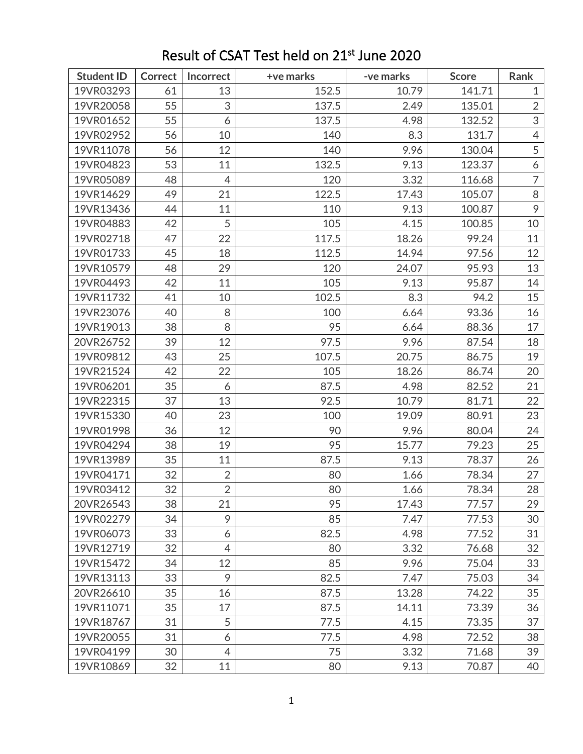| <b>Student ID</b> | <b>Correct</b> | Incorrect      | +ve marks | -ve marks | <b>Score</b> | Rank           |
|-------------------|----------------|----------------|-----------|-----------|--------------|----------------|
| 19VR03293         | 61             | 13             | 152.5     | 10.79     | 141.71       | $\mathbf{1}$   |
| 19VR20058         | 55             | 3              | 137.5     | 2.49      | 135.01       | $\overline{2}$ |
| 19VR01652         | 55             | 6              | 137.5     | 4.98      | 132.52       | 3              |
| 19VR02952         | 56             | 10             | 140       | 8.3       | 131.7        | $\overline{4}$ |
| 19VR11078         | 56             | 12             | 140       | 9.96      | 130.04       | 5              |
| 19VR04823         | 53             | 11             | 132.5     | 9.13      | 123.37       | 6              |
| 19VR05089         | 48             | $\overline{4}$ | 120       | 3.32      | 116.68       | $\overline{7}$ |
| 19VR14629         | 49             | 21             | 122.5     | 17.43     | 105.07       | 8              |
| 19VR13436         | 44             | 11             | 110       | 9.13      | 100.87       | 9              |
| 19VR04883         | 42             | 5              | 105       | 4.15      | 100.85       | 10             |
| 19VR02718         | 47             | 22             | 117.5     | 18.26     | 99.24        | 11             |
| 19VR01733         | 45             | 18             | 112.5     | 14.94     | 97.56        | 12             |
| 19VR10579         | 48             | 29             | 120       | 24.07     | 95.93        | 13             |
| 19VR04493         | 42             | 11             | 105       | 9.13      | 95.87        | 14             |
| 19VR11732         | 41             | 10             | 102.5     | 8.3       | 94.2         | 15             |
| 19VR23076         | 40             | 8              | 100       | 6.64      | 93.36        | 16             |
| 19VR19013         | 38             | 8              | 95        | 6.64      | 88.36        | 17             |
| 20VR26752         | 39             | 12             | 97.5      | 9.96      | 87.54        | 18             |
| 19VR09812         | 43             | 25             | 107.5     | 20.75     | 86.75        | 19             |
| 19VR21524         | 42             | 22             | 105       | 18.26     | 86.74        | 20             |
| 19VR06201         | 35             | 6              | 87.5      | 4.98      | 82.52        | 21             |
| 19VR22315         | 37             | 13             | 92.5      | 10.79     | 81.71        | 22             |
| 19VR15330         | 40             | 23             | 100       | 19.09     | 80.91        | 23             |
| 19VR01998         | 36             | 12             | 90        | 9.96      | 80.04        | 24             |
| 19VR04294         | 38             | 19             | 95        | 15.77     | 79.23        | 25             |
| 19VR13989         | 35             | 11             | 87.5      | 9.13      | 78.37        | 26             |
| 19VR04171         | 32             | $\overline{2}$ | 80        | 1.66      | 78.34        | 27             |
| 19VR03412         | 32             | $\overline{2}$ | 80        | 1.66      | 78.34        | 28             |
| 20VR26543         | 38             | 21             | 95        | 17.43     | 77.57        | 29             |
| 19VR02279         | 34             | 9              | 85        | 7.47      | 77.53        | 30             |
| 19VR06073         | 33             | 6              | 82.5      | 4.98      | 77.52        | 31             |
| 19VR12719         | 32             | $\overline{4}$ | 80        | 3.32      | 76.68        | 32             |
| 19VR15472         | 34             | 12             | 85        | 9.96      | 75.04        | 33             |
| 19VR13113         | 33             | 9              | 82.5      | 7.47      | 75.03        | 34             |
| 20VR26610         | 35             | 16             | 87.5      | 13.28     | 74.22        | 35             |
| 19VR11071         | 35             | 17             | 87.5      | 14.11     | 73.39        | 36             |
| 19VR18767         | 31             | 5              | 77.5      | 4.15      | 73.35        | 37             |
| 19VR20055         | 31             | 6              | 77.5      | 4.98      | 72.52        | 38             |
| 19VR04199         | 30             | $\overline{4}$ | 75        | 3.32      | 71.68        | 39             |
| 19VR10869         | 32             | 11             | 80        | 9.13      | 70.87        | 40             |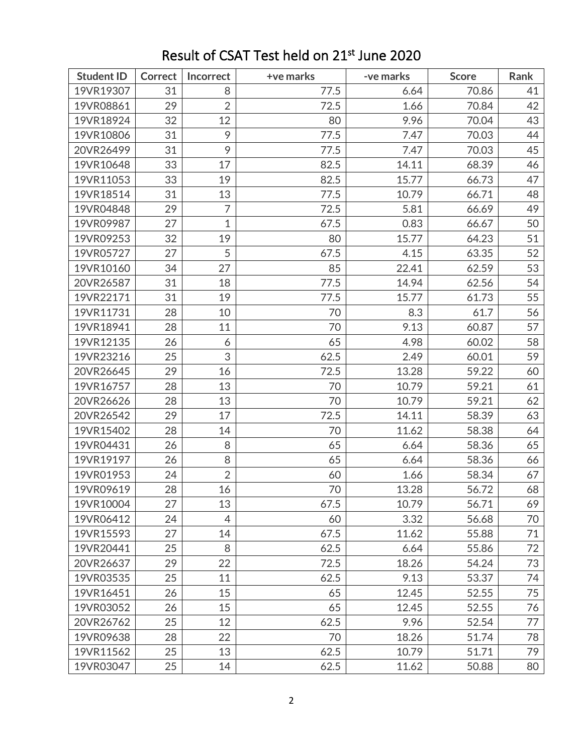| <b>Student ID</b> | <b>Correct</b> | Incorrect      | +ve marks | -ve marks | <b>Score</b> | Rank |
|-------------------|----------------|----------------|-----------|-----------|--------------|------|
| 19VR19307         | 31             | 8              | 77.5      | 6.64      | 70.86        | 41   |
| 19VR08861         | 29             | $\overline{2}$ | 72.5      | 1.66      | 70.84        | 42   |
| 19VR18924         | 32             | 12             | 80        | 9.96      | 70.04        | 43   |
| 19VR10806         | 31             | 9              | 77.5      | 7.47      | 70.03        | 44   |
| 20VR26499         | 31             | 9              | 77.5      | 7.47      | 70.03        | 45   |
| 19VR10648         | 33             | 17             | 82.5      | 14.11     | 68.39        | 46   |
| 19VR11053         | 33             | 19             | 82.5      | 15.77     | 66.73        | 47   |
| 19VR18514         | 31             | 13             | 77.5      | 10.79     | 66.71        | 48   |
| 19VR04848         | 29             | $\overline{7}$ | 72.5      | 5.81      | 66.69        | 49   |
| 19VR09987         | 27             | $\mathbf{1}$   | 67.5      | 0.83      | 66.67        | 50   |
| 19VR09253         | 32             | 19             | 80        | 15.77     | 64.23        | 51   |
| 19VR05727         | 27             | 5              | 67.5      | 4.15      | 63.35        | 52   |
| 19VR10160         | 34             | 27             | 85        | 22.41     | 62.59        | 53   |
| 20VR26587         | 31             | 18             | 77.5      | 14.94     | 62.56        | 54   |
| 19VR22171         | 31             | 19             | 77.5      | 15.77     | 61.73        | 55   |
| 19VR11731         | 28             | 10             | $70\,$    | 8.3       | 61.7         | 56   |
| 19VR18941         | 28             | 11             | 70        | 9.13      | 60.87        | 57   |
| 19VR12135         | 26             | 6              | 65        | 4.98      | 60.02        | 58   |
| 19VR23216         | 25             | 3              | 62.5      | 2.49      | 60.01        | 59   |
| 20VR26645         | 29             | 16             | 72.5      | 13.28     | 59.22        | 60   |
| 19VR16757         | 28             | 13             | 70        | 10.79     | 59.21        | 61   |
| 20VR26626         | 28             | 13             | 70        | 10.79     | 59.21        | 62   |
| 20VR26542         | 29             | 17             | 72.5      | 14.11     | 58.39        | 63   |
| 19VR15402         | 28             | 14             | 70        | 11.62     | 58.38        | 64   |
| 19VR04431         | 26             | 8              | 65        | 6.64      | 58.36        | 65   |
| 19VR19197         | 26             | 8              | 65        | 6.64      | 58.36        | 66   |
| 19VR01953         | 24             | $\overline{2}$ | 60        | 1.66      | 58.34        | 67   |
| 19VR09619         | 28             | 16             | 70        | 13.28     | 56.72        | 68   |
| 19VR10004         | 27             | 13             | 67.5      | 10.79     | 56.71        | 69   |
| 19VR06412         | 24             | $\overline{4}$ | 60        | 3.32      | 56.68        | 70   |
| 19VR15593         | 27             | 14             | 67.5      | 11.62     | 55.88        | 71   |
| 19VR20441         | 25             | 8              | 62.5      | 6.64      | 55.86        | 72   |
| 20VR26637         | 29             | 22             | 72.5      | 18.26     | 54.24        | 73   |
| 19VR03535         | 25             | 11             | 62.5      | 9.13      | 53.37        | 74   |
| 19VR16451         | 26             | 15             | 65        | 12.45     | 52.55        | 75   |
| 19VR03052         | 26             | 15             | 65        | 12.45     | 52.55        | 76   |
| 20VR26762         | 25             | 12             | 62.5      | 9.96      | 52.54        | 77   |
| 19VR09638         | 28             | 22             | 70        | 18.26     | 51.74        | 78   |
| 19VR11562         | 25             | 13             | 62.5      | 10.79     | 51.71        | 79   |
| 19VR03047         | 25             | 14             | 62.5      | 11.62     | 50.88        | 80   |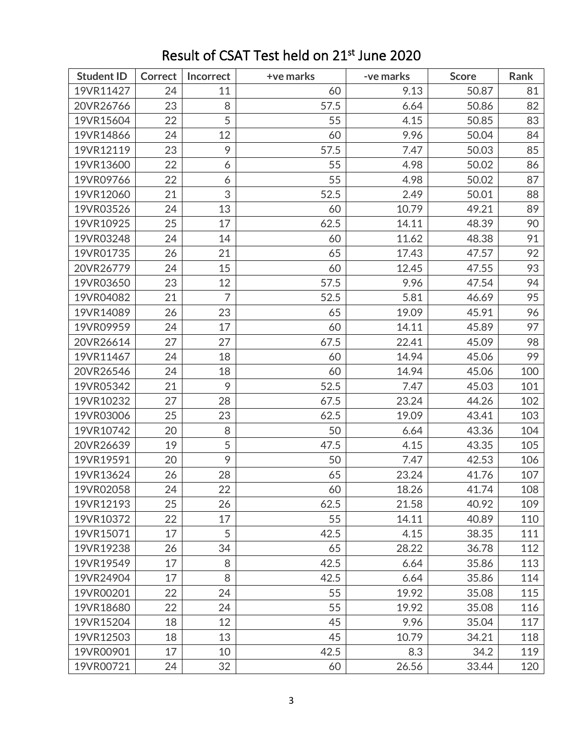| <b>Student ID</b> | <b>Correct</b> | Incorrect      | +ve marks | -ve marks | <b>Score</b> | Rank |
|-------------------|----------------|----------------|-----------|-----------|--------------|------|
| 19VR11427         | 24             | 11             | 60        | 9.13      | 50.87        | 81   |
| 20VR26766         | 23             | 8              | 57.5      | 6.64      | 50.86        | 82   |
| 19VR15604         | 22             | 5              | 55        | 4.15      | 50.85        | 83   |
| 19VR14866         | 24             | 12             | 60        | 9.96      | 50.04        | 84   |
| 19VR12119         | 23             | 9              | 57.5      | 7.47      | 50.03        | 85   |
| 19VR13600         | 22             | 6              | 55        | 4.98      | 50.02        | 86   |
| 19VR09766         | 22             | 6              | 55        | 4.98      | 50.02        | 87   |
| 19VR12060         | 21             | 3              | 52.5      | 2.49      | 50.01        | 88   |
| 19VR03526         | 24             | 13             | 60        | 10.79     | 49.21        | 89   |
| 19VR10925         | 25             | 17             | 62.5      | 14.11     | 48.39        | 90   |
| 19VR03248         | 24             | 14             | 60        | 11.62     | 48.38        | 91   |
| 19VR01735         | 26             | 21             | 65        | 17.43     | 47.57        | 92   |
| 20VR26779         | 24             | 15             | 60        | 12.45     | 47.55        | 93   |
| 19VR03650         | 23             | 12             | 57.5      | 9.96      | 47.54        | 94   |
| 19VR04082         | 21             | $\overline{7}$ | 52.5      | 5.81      | 46.69        | 95   |
| 19VR14089         | 26             | 23             | 65        | 19.09     | 45.91        | 96   |
| 19VR09959         | 24             | 17             | 60        | 14.11     | 45.89        | 97   |
| 20VR26614         | 27             | 27             | 67.5      | 22.41     | 45.09        | 98   |
| 19VR11467         | 24             | 18             | 60        | 14.94     | 45.06        | 99   |
| 20VR26546         | 24             | 18             | 60        | 14.94     | 45.06        | 100  |
| 19VR05342         | 21             | 9              | 52.5      | 7.47      | 45.03        | 101  |
| 19VR10232         | 27             | 28             | 67.5      | 23.24     | 44.26        | 102  |
| 19VR03006         | 25             | 23             | 62.5      | 19.09     | 43.41        | 103  |
| 19VR10742         | 20             | 8              | 50        | 6.64      | 43.36        | 104  |
| 20VR26639         | 19             | 5              | 47.5      | 4.15      | 43.35        | 105  |
| 19VR19591         | 20             | 9              | 50        | 7.47      | 42.53        | 106  |
| 19VR13624         | 26             | 28             | 65        | 23.24     | 41.76        | 107  |
| 19VR02058         | 24             | 22             | 60        | 18.26     | 41.74        | 108  |
| 19VR12193         | 25             | 26             | 62.5      | 21.58     | 40.92        | 109  |
| 19VR10372         | 22             | 17             | 55        | 14.11     | 40.89        | 110  |
| 19VR15071         | 17             | 5              | 42.5      | 4.15      | 38.35        | 111  |
| 19VR19238         | 26             | 34             | 65        | 28.22     | 36.78        | 112  |
| 19VR19549         | 17             | 8              | 42.5      | 6.64      | 35.86        | 113  |
| 19VR24904         | 17             | 8              | 42.5      | 6.64      | 35.86        | 114  |
| 19VR00201         | 22             | 24             | 55        | 19.92     | 35.08        | 115  |
| 19VR18680         | 22             | 24             | 55        | 19.92     | 35.08        | 116  |
| 19VR15204         | 18             | 12             | 45        | 9.96      | 35.04        | 117  |
| 19VR12503         | 18             | 13             | 45        | 10.79     | 34.21        | 118  |
| 19VR00901         | 17             | 10             | 42.5      | 8.3       | 34.2         | 119  |
| 19VR00721         | 24             | 32             | 60        | 26.56     | 33.44        | 120  |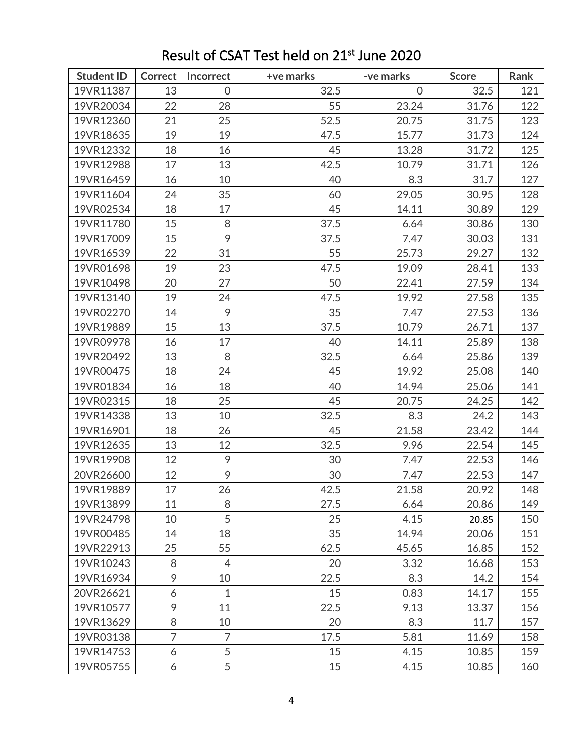| <b>Student ID</b> | <b>Correct</b> | Incorrect      | +ve marks | -ve marks   | <b>Score</b> | Rank |
|-------------------|----------------|----------------|-----------|-------------|--------------|------|
| 19VR11387         | 13             | $\mathbf 0$    | 32.5      | $\mathbf 0$ | 32.5         | 121  |
| 19VR20034         | 22             | 28             | 55        | 23.24       | 31.76        | 122  |
| 19VR12360         | 21             | 25             | 52.5      | 20.75       | 31.75        | 123  |
| 19VR18635         | 19             | 19             | 47.5      | 15.77       | 31.73        | 124  |
| 19VR12332         | 18             | 16             | 45        | 13.28       | 31.72        | 125  |
| 19VR12988         | 17             | 13             | 42.5      | 10.79       | 31.71        | 126  |
| 19VR16459         | 16             | 10             | 40        | 8.3         | 31.7         | 127  |
| 19VR11604         | 24             | 35             | 60        | 29.05       | 30.95        | 128  |
| 19VR02534         | 18             | 17             | 45        | 14.11       | 30.89        | 129  |
| 19VR11780         | 15             | 8              | 37.5      | 6.64        | 30.86        | 130  |
| 19VR17009         | 15             | 9              | 37.5      | 7.47        | 30.03        | 131  |
| 19VR16539         | 22             | 31             | 55        | 25.73       | 29.27        | 132  |
| 19VR01698         | 19             | 23             | 47.5      | 19.09       | 28.41        | 133  |
| 19VR10498         | 20             | 27             | 50        | 22.41       | 27.59        | 134  |
| 19VR13140         | 19             | 24             | 47.5      | 19.92       | 27.58        | 135  |
| 19VR02270         | 14             | 9              | 35        | 7.47        | 27.53        | 136  |
| 19VR19889         | 15             | 13             | 37.5      | 10.79       | 26.71        | 137  |
| 19VR09978         | 16             | 17             | 40        | 14.11       | 25.89        | 138  |
| 19VR20492         | 13             | 8              | 32.5      | 6.64        | 25.86        | 139  |
| 19VR00475         | 18             | 24             | 45        | 19.92       | 25.08        | 140  |
| 19VR01834         | 16             | 18             | 40        | 14.94       | 25.06        | 141  |
| 19VR02315         | 18             | 25             | 45        | 20.75       | 24.25        | 142  |
| 19VR14338         | 13             | 10             | 32.5      | 8.3         | 24.2         | 143  |
| 19VR16901         | 18             | 26             | 45        | 21.58       | 23.42        | 144  |
| 19VR12635         | 13             | 12             | 32.5      | 9.96        | 22.54        | 145  |
| 19VR19908         | 12             | 9              | 30        | 7.47        | 22.53        | 146  |
| 20VR26600         | 12             | 9              | 30        | 7.47        | 22.53        | 147  |
| 19VR19889         | 17             | 26             | 42.5      | 21.58       | 20.92        | 148  |
| 19VR13899         | 11             | 8              | 27.5      | 6.64        | 20.86        | 149  |
| 19VR24798         | 10             | 5              | 25        | 4.15        | 20.85        | 150  |
| 19VR00485         | 14             | 18             | 35        | 14.94       | 20.06        | 151  |
| 19VR22913         | 25             | 55             | 62.5      | 45.65       | 16.85        | 152  |
| 19VR10243         | 8              | $\overline{4}$ | 20        | 3.32        | 16.68        | 153  |
| 19VR16934         | 9              | 10             | 22.5      | 8.3         | 14.2         | 154  |
| 20VR26621         | 6              | $\mathbf 1$    | 15        | 0.83        | 14.17        | 155  |
| 19VR10577         | 9              | 11             | 22.5      | 9.13        | 13.37        | 156  |
| 19VR13629         | 8              | 10             | 20        | 8.3         | 11.7         | 157  |
| 19VR03138         | $\overline{7}$ | $\overline{7}$ | 17.5      | 5.81        | 11.69        | 158  |
| 19VR14753         | 6              | 5              | 15        | 4.15        | 10.85        | 159  |
| 19VR05755         | 6              | 5              | 15        | 4.15        | 10.85        | 160  |